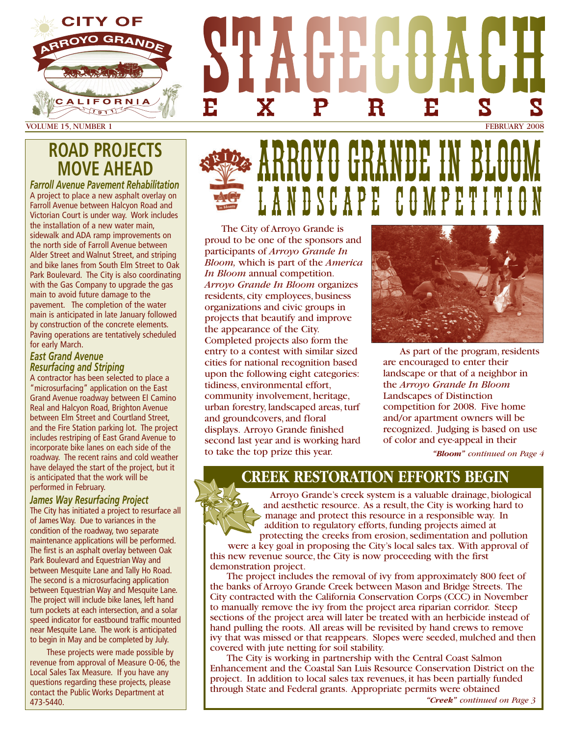

# **ROAD PROJECTS MOVE AHEAD**

*Farroll Avenue Pavement Rehabilitation* A project to place a new asphalt overlay on Farroll Avenue between Halcyon Road and Victorian Court is under way. Work includes the installation of a new water main, sidewalk and ADA ramp improvements on the north side of Farroll Avenue between Alder Street and Walnut Street, and striping and bike lanes from South Elm Street to Oak Park Boulevard. The City is also coordinating with the Gas Company to upgrade the gas main to avoid future damage to the pavement. The completion of the water main is anticipated in late January followed by construction of the concrete elements. Paving operations are tentatively scheduled for early March.

#### *East Grand Avenue Resurfacing and Striping*

A contractor has been selected to place a "microsurfacing" application on the East Grand Avenue roadway between El Camino Real and Halcyon Road, Brighton Avenue between Elm Street and Courtland Street, and the Fire Station parking lot. The project includes restriping of East Grand Avenue to incorporate bike lanes on each side of the roadway. The recent rains and cold weather have delayed the start of the project, but it is anticipated that the work will be performed in February.

#### *James Way Resurfacing Project*

The City has initiated a project to resurface all of James Way. Due to variances in the condition of the roadway, two separate maintenance applications will be performed. The first is an asphalt overlay between Oak Park Boulevard and Equestrian Way and between Mesquite Lane and Tally Ho Road. The second is a microsurfacing application between Equestrian Way and Mesquite Lane. The project will include bike lanes, left hand turn pockets at each intersection, and a solar speed indicator for eastbound traffic mounted near Mesquite Lane. The work is anticipated to begin in May and be completed by July.

These projects were made possible by revenue from approval of Measure O-06, the Local Sales Tax Measure. If you have any questions regarding these projects, please contact the Public Works Department at 473-5440.

# ARROYO GRANDE IN BLOOM **DSCAPE**

EXPRESS

The City of Arroyo Grande is proud to be one of the sponsors and participants of *Arroyo Grande In Bloom,* which is part of the *America In Bloom* annual competition. *Arroyo Grande In Bloom* organizes residents, city employees, business organizations and civic groups in projects that beautify and improve the appearance of the City. Completed projects also form the entry to a contest with similar sized cities for national recognition based upon the following eight categories: tidiness, environmental effort, community involvement, heritage, urban forestry, landscaped areas, turf and groundcovers, and floral displays. Arroyo Grande finished second last year and is working hard to take the top prize this year.



As part of the program, residents are encouraged to enter their landscape or that of a neighbor in the *Arroyo Grande In Bloom* Landscapes of Distinction competition for 2008. Five home and/or apartment owners will be recognized. Judging is based on use of color and eye-appeal in their

*"Bloom" continued on Page 4*

### **CREEK RESTORATION EFFORTS BEGIN**

Arroyo Grande's creek system is a valuable drainage, biological and aesthetic resource. As a result, the City is working hard to manage and protect this resource in a responsible way. In addition to regulatory efforts, funding projects aimed at protecting the creeks from erosion, sedimentation and pollution

were a key goal in proposing the City's local sales tax. With approval of this new revenue source, the City is now proceeding with the first demonstration project.

The project includes the removal of ivy from approximately 800 feet of the banks of Arroyo Grande Creek between Mason and Bridge Streets. The City contracted with the California Conservation Corps (CCC) in November to manually remove the ivy from the project area riparian corridor. Steep sections of the project area will later be treated with an herbicide instead of hand pulling the roots. All areas will be revisited by hand crews to remove ivy that was missed or that reappears. Slopes were seeded, mulched and then covered with jute netting for soil stability.

The City is working in partnership with the Central Coast Salmon Enhancement and the Coastal San Luis Resource Conservation District on the project. In addition to local sales tax revenues, it has been partially funded through State and Federal grants. Appropriate permits were obtained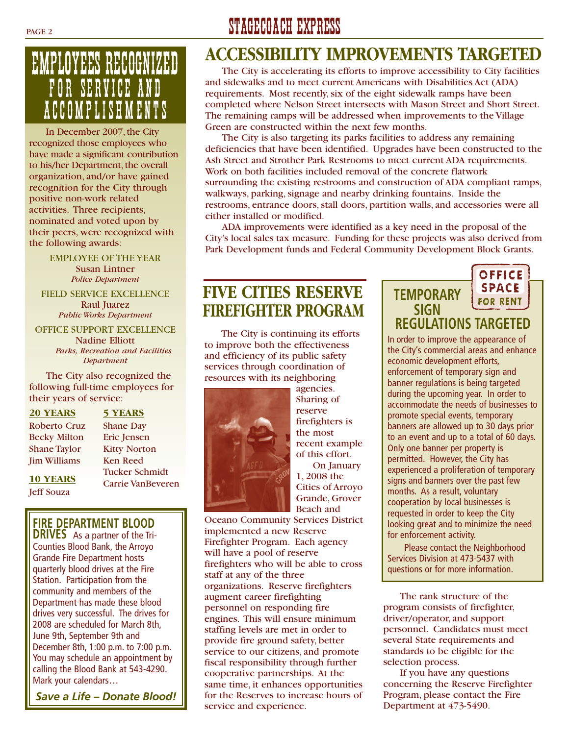# EMPLOYEES RECOGNIZED FOR SERVICE AND ACCOMPLISHMENTS

In December 2007, the City recognized those employees who have made a significant contribution to his/her Department, the overall organization, and/or have gained recognition for the City through positive non-work related activities. Three recipients, nominated and voted upon by their peers, were recognized with the following awards:

> EMPLOYEE OF THE YEAR Susan Lintner *Police Department*

FIELD SERVICE EXCELLENCE Raul Juarez *Public Works Department*

OFFICE SUPPORT EXCELLENCE

Nadine Elliott *Parks, Recreation and Facilities Department*

The City also recognized the following full-time employees for their years of service:

**20 YEARS 5 YEARS**

Jim Williams Ken Reed

Jeff Souza

Roberto Cruz Shane Day Becky Milton Eric Jensen Shane Taylor Kitty Norton Tucker Schmidt **10 YEARS Carrie VanBeveren** 

#### **FIRE DEPARTMENT BLOOD**

**DRIVES** As a partner of the Tri-Counties Blood Bank, the Arroyo Grande Fire Department hosts quarterly blood drives at the Fire Station. Participation from the community and members of the Department has made these blood drives very successful. The drives for 2008 are scheduled for March 8th, June 9th, September 9th and December 8th, 1:00 p.m. to 7:00 p.m. You may schedule an appointment by calling the Blood Bank at 543-4290. Mark your calendars…

*Save a Life – Donate Blood!*

# PAGE 2 STAGECOACH EXPRESS

# **ACCESSIBILITY IMPROVEMENTS TARGETED**

The City is accelerating its efforts to improve accessibility to City facilities and sidewalks and to meet current Americans with Disabilities Act (ADA) requirements. Most recently, six of the eight sidewalk ramps have been completed where Nelson Street intersects with Mason Street and Short Street. The remaining ramps will be addressed when improvements to the Village Green are constructed within the next few months.

The City is also targeting its parks facilities to address any remaining deficiencies that have been identified. Upgrades have been constructed to the Ash Street and Strother Park Restrooms to meet current ADA requirements. Work on both facilities included removal of the concrete flatwork surrounding the existing restrooms and construction of ADA compliant ramps, walkways, parking, signage and nearby drinking fountains. Inside the restrooms, entrance doors, stall doors, partition walls, and accessories were all either installed or modified.

ADA improvements were identified as a key need in the proposal of the City's local sales tax measure. Funding for these projects was also derived from Park Development funds and Federal Community Development Block Grants.

### **FIVE CITIES RESERVE FIREFIGHTER PROGRAM**

The City is continuing its efforts to improve both the effectiveness and efficiency of its public safety services through coordination of resources with its neighboring



agencies. Sharing of reserve firefighters is the most recent example of this effort. On January 1, 2008 the Cities of Arroyo Grande, Grover Beach and

Oceano Community Services District implemented a new Reserve Firefighter Program. Each agency will have a pool of reserve firefighters who will be able to cross staff at any of the three organizations. Reserve firefighters augment career firefighting personnel on responding fire engines. This will ensure minimum staffing levels are met in order to provide fire ground safety, better service to our citizens, and promote fiscal responsibility through further cooperative partnerships. At the same time, it enhances opportunities for the Reserves to increase hours of service and experience.

#### OFFICE **SPACE TEMPORARY FOR RENT SIGN REGULATIONS TARGETED**

In order to improve the appearance of the City's commercial areas and enhance economic development efforts, enforcement of temporary sign and banner regulations is being targeted during the upcoming year. In order to accommodate the needs of businesses to promote special events, temporary banners are allowed up to 30 days prior to an event and up to a total of 60 days. Only one banner per property is permitted. However, the City has experienced a proliferation of temporary signs and banners over the past few months. As a result, voluntary cooperation by local businesses is requested in order to keep the City looking great and to minimize the need for enforcement activity.

Please contact the Neighborhood Services Division at 473-5437 with questions or for more information.

The rank structure of the program consists of firefighter, driver/operator, and support personnel. Candidates must meet several State requirements and standards to be eligible for the selection process.

If you have any questions concerning the Reserve Firefighter Program, please contact the Fire Department at 473-5490.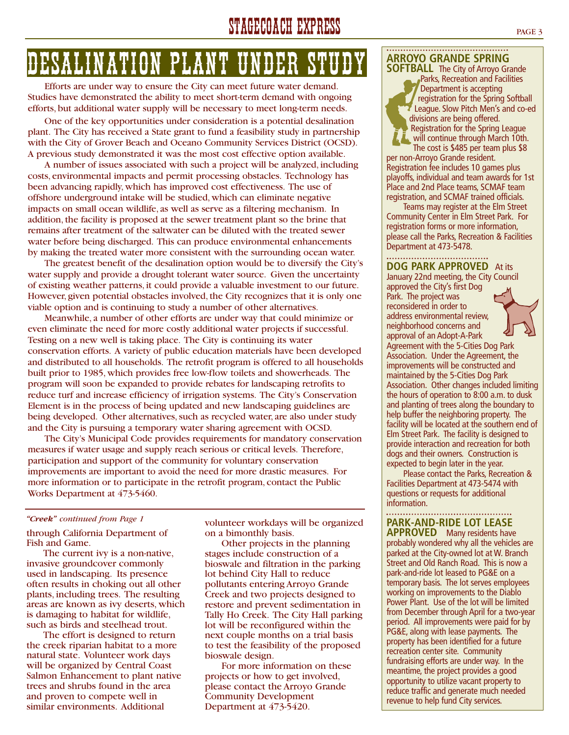# STAGECOACH EXPRESS PAGE 3

# DESALINATION PLANT UNDER ST

Efforts are under way to ensure the City can meet future water demand. Studies have demonstrated the ability to meet short-term demand with ongoing efforts, but additional water supply will be necessary to meet long-term needs.

One of the key opportunities under consideration is a potential desalination plant. The City has received a State grant to fund a feasibility study in partnership with the City of Grover Beach and Oceano Community Services District (OCSD). A previous study demonstrated it was the most cost effective option available.

A number of issues associated with such a project will be analyzed, including costs, environmental impacts and permit processing obstacles. Technology has been advancing rapidly, which has improved cost effectiveness. The use of offshore underground intake will be studied, which can eliminate negative impacts on small ocean wildlife, as well as serve as a filtering mechanism. In addition, the facility is proposed at the sewer treatment plant so the brine that remains after treatment of the saltwater can be diluted with the treated sewer water before being discharged. This can produce environmental enhancements by making the treated water more consistent with the surrounding ocean water.

The greatest benefit of the desalination option would be to diversify the City's water supply and provide a drought tolerant water source. Given the uncertainty of existing weather patterns, it could provide a valuable investment to our future. However, given potential obstacles involved, the City recognizes that it is only one viable option and is continuing to study a number of other alternatives.

Meanwhile, a number of other efforts are under way that could minimize or even eliminate the need for more costly additional water projects if successful. Testing on a new well is taking place. The City is continuing its water conservation efforts. A variety of public education materials have been developed and distributed to all households. The retrofit program is offered to all households built prior to 1985, which provides free low-flow toilets and showerheads. The program will soon be expanded to provide rebates for landscaping retrofits to reduce turf and increase efficiency of irrigation systems. The City's Conservation Element is in the process of being updated and new landscaping guidelines are being developed. Other alternatives, such as recycled water, are also under study and the City is pursuing a temporary water sharing agreement with OCSD.

The City's Municipal Code provides requirements for mandatory conservation measures if water usage and supply reach serious or critical levels. Therefore, participation and support of the community for voluntary conservation improvements are important to avoid the need for more drastic measures. For more information or to participate in the retrofit program, contact the Public Works Department at 473-5460.

#### *"Creek" continued from Page 1*

through California Department of Fish and Game.

The current ivy is a non-native, invasive groundcover commonly used in landscaping. Its presence often results in choking out all other plants, including trees. The resulting areas are known as ivy deserts, which is damaging to habitat for wildlife, such as birds and steelhead trout.

The effort is designed to return the creek riparian habitat to a more natural state. Volunteer work days will be organized by Central Coast Salmon Enhancement to plant native trees and shrubs found in the area and proven to compete well in similar environments. Additional

volunteer workdays will be organized on a bimonthly basis.

Other projects in the planning stages include construction of a bioswale and filtration in the parking lot behind City Hall to reduce pollutants entering Arroyo Grande Creek and two projects designed to restore and prevent sedimentation in Tally Ho Creek. The City Hall parking lot will be reconfigured within the next couple months on a trial basis to test the feasibility of the proposed bioswale design.

For more information on these projects or how to get involved, please contact the Arroyo Grande Community Development Department at 473-5420.

#### **ARROYO GRANDE SPRING**

**SOFTBALL** The City of Arroyo Grande Parks, Recreation and Facilities Department is accepting registration for the Spring Softball League. Slow Pitch Men's and co-ed divisions are being offered. Registration for the Spring League will continue through March 10th. The cost is \$485 per team plus \$8

per non-Arroyo Grande resident. Registration fee includes 10 games plus playoffs, individual and team awards for 1st Place and 2nd Place teams, SCMAF team registration, and SCMAF trained officials.

Teams may register at the Elm Street Community Center in Elm Street Park. For registration forms or more information, please call the Parks, Recreation & Facilities Department at 473-5478.

#### **DOG PARK APPROVED** At its

January 22nd meeting, the City Council approved the City's first Dog

Park. The project was reconsidered in order to address environmental review, neighborhood concerns and



approval of an Adopt-A-Park Agreement with the 5-Cities Dog Park Association. Under the Agreement, the improvements will be constructed and maintained by the 5-Cities Dog Park Association. Other changes included limiting the hours of operation to 8:00 a.m. to dusk and planting of trees along the boundary to help buffer the neighboring property. The facility will be located at the southern end of Elm Street Park. The facility is designed to provide interaction and recreation for both dogs and their owners. Construction is expected to begin later in the year.

Please contact the Parks, Recreation & Facilities Department at 473-5474 with questions or requests for additional information.

#### **PARK-AND-RIDE LOT LEASE**

**APPROVED** Many residents have probably wondered why all the vehicles are parked at the City-owned lot at W. Branch Street and Old Ranch Road. This is now a park-and-ride lot leased to PG&E on a temporary basis. The lot serves employees working on improvements to the Diablo Power Plant. Use of the lot will be limited from December through April for a two-year period. All improvements were paid for by PG&E, along with lease payments. The property has been identified for a future recreation center site. Community fundraising efforts are under way. In the meantime, the project provides a good opportunity to utilize vacant property to reduce traffic and generate much needed revenue to help fund City services.